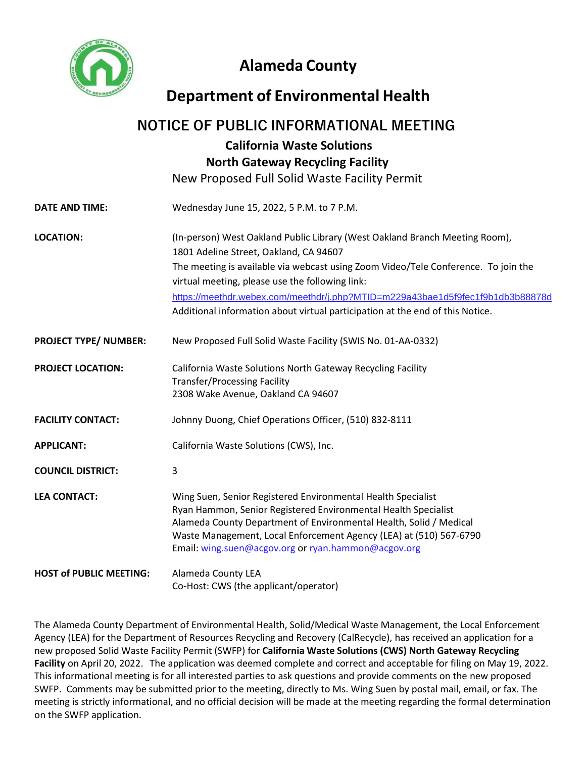

# **Alameda County**

# **Department of Environmental Health**

## **NOTICE OF PUBLIC INFORMATIONAL MEETING**

## **California Waste Solutions North Gateway Recycling Facility**

New Proposed Full Solid Waste Facility Permit

**DATE AND TIME:** Wednesday June 15, 2022, 5 P.M. to 7 P.M. **LOCATION:** (In-person) West Oakland Public Library (West Oakland Branch Meeting Room), 1801 Adeline Street, Oakland, CA 94607 The meeting is available via webcast using Zoom Video/Tele Conference. To join the virtual meeting, please use the following link: Additional information about virtual participation at the end of this Notice. **PROJECT TYPE/ NUMBER:** New Proposed Full Solid Waste Facility (SWIS No. 01-AA-0332) **PROJECT LOCATION:** California Waste Solutions North Gateway Recycling Facility Transfer/Processing Facility 2308 Wake Avenue, Oakland CA 94607 **FACILITY CONTACT:** Johnny Duong, Chief Operations Officer, (510) 832-8111 **APPLICANT:** California Waste Solutions (CWS), Inc. **COUNCIL DISTRICT:** 3 **LEA CONTACT:** Wing Suen, Senior Registered Environmental Health Specialist Ryan Hammon, Senior Registered Environmental Health Specialist Alameda County Department of Environmental Health, Solid / Medical Waste Management, Local Enforcement Agency (LEA) at (510) 567-6790 Email: wing.suen@acgov.org or ryan.hammon@acgov.org **HOST of PUBLIC MEETING:** Alameda County LEA Co-Host: CWS (the applicant/operator) <https://meethdr.webex.com/meethdr/j.php?MTID=m229a43bae1d5f9fec1f9b1db3b88878d>

The Alameda County Department of Environmental Health, Solid/Medical Waste Management, the Local Enforcement Agency (LEA) for the Department of Resources Recycling and Recovery (CalRecycle), has received an application for a new proposed Solid Waste Facility Permit (SWFP) for **California Waste Solutions (CWS) North Gateway Recycling Facility** on April 20, 2022. The application was deemed complete and correct and acceptable for filing on May 19, 2022. This informational meeting is for all interested parties to ask questions and provide comments on the new proposed SWFP. Comments may be submitted prior to the meeting, directly to Ms. Wing Suen by postal mail, email, or fax. The meeting is strictly informational, and no official decision will be made at the meeting regarding the formal determination on the SWFP application.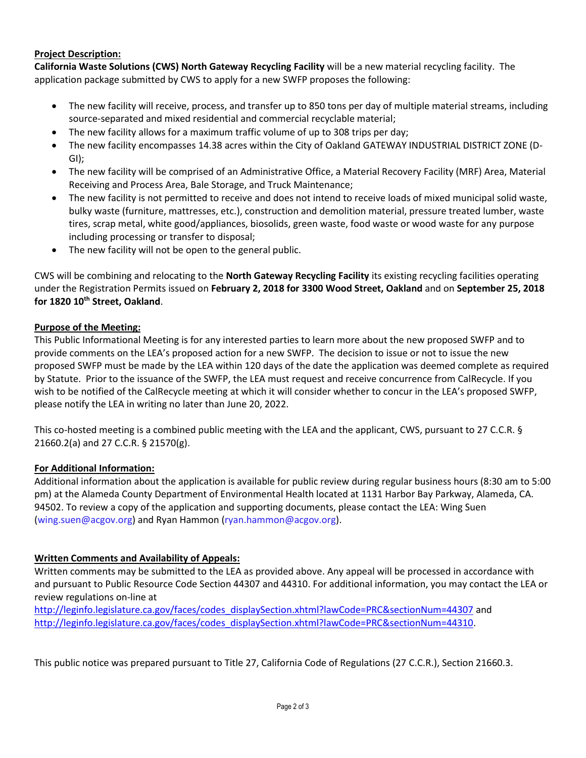## **Project Description:**

**California Waste Solutions (CWS) North Gateway Recycling Facility** will be a new material recycling facility. The application package submitted by CWS to apply for a new SWFP proposes the following:

- The new facility will receive, process, and transfer up to 850 tons per day of multiple material streams, including source-separated and mixed residential and commercial recyclable material;
- The new facility allows for a maximum traffic volume of up to 308 trips per day;
- The new facility encompasses 14.38 acres within the City of Oakland GATEWAY INDUSTRIAL DISTRICT ZONE (D-GI);
- The new facility will be comprised of an Administrative Office, a Material Recovery Facility (MRF) Area, Material Receiving and Process Area, Bale Storage, and Truck Maintenance;
- The new facility is not permitted to receive and does not intend to receive loads of mixed municipal solid waste, bulky waste (furniture, mattresses, etc.), construction and demolition material, pressure treated lumber, waste tires, scrap metal, white good/appliances, biosolids, green waste, food waste or wood waste for any purpose including processing or transfer to disposal;
- The new facility will not be open to the general public.

CWS will be combining and relocating to the **North Gateway Recycling Facility** its existing recycling facilities operating under the Registration Permits issued on **February 2, 2018 for 3300 Wood Street, Oakland** and on **September 25, 2018 for 1820 10th Street, Oakland**.

### **Purpose of the Meeting:**

This Public Informational Meeting is for any interested parties to learn more about the new proposed SWFP and to provide comments on the LEA's proposed action for a new SWFP. The decision to issue or not to issue the new proposed SWFP must be made by the LEA within 120 days of the date the application was deemed complete as required by Statute. Prior to the issuance of the SWFP, the LEA must request and receive concurrence from CalRecycle. If you wish to be notified of the CalRecycle meeting at which it will consider whether to concur in the LEA's proposed SWFP, please notify the LEA in writing no later than June 20, 2022.

This co-hosted meeting is a combined public meeting with the LEA and the applicant, CWS, pursuant to 27 C.C.R. § 21660.2(a) and 27 C.C.R. § 21570(g).

## **For Additional Information:**

Additional information about the application is available for public review during regular business hours (8:30 am to 5:00 pm) at the Alameda County Department of Environmental Health located at 1131 Harbor Bay Parkway, Alameda, CA. 94502. To review a copy of the application and supporting documents, please contact the LEA: Wing Suen (wing.suen@acgov.org) and Ryan Hammon (ryan.hammon@acgov.org).

## **Written Comments and Availability of Appeals:**

Written comments may be submitted to the LEA as provided above. Any appeal will be processed in accordance with and pursuant to Public Resource Code Section 44307 and 44310. For additional information, you may contact the LEA or review regulations on-line at

[http://leginfo.legislature.ca.gov/faces/codes\\_displaySection.xhtml?lawCode=PRC&sectionNum=44307](http://leginfo.legislature.ca.gov/faces/codes_displaySection.xhtml?lawCode=PRC§ionNum=44307) and [http://leginfo.legislature.ca.gov/faces/codes\\_displaySection.xhtml?lawCode=PRC&sectionNum=44310.](http://leginfo.legislature.ca.gov/faces/codes_displaySection.xhtml?lawCode=PRC§ionNum=44310)

This public notice was prepared pursuant to Title 27, California Code of Regulations (27 C.C.R.), Section 21660.3.